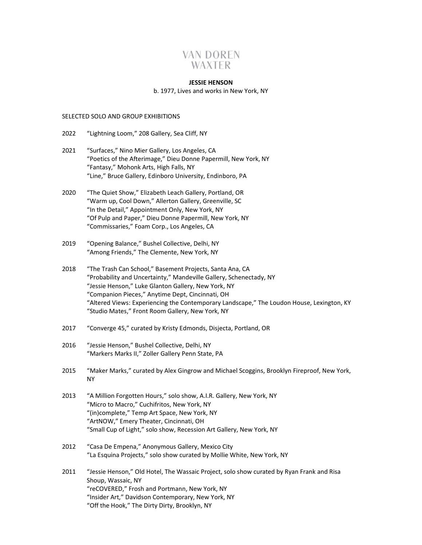# **VAN DOREN** WAXTER

#### **JESSIE HENSON**

#### b. 1977, Lives and works in New York, NY

#### SELECTED SOLO AND GROUP EXHIBITIONS

- 2022 "Lightning Loom," 208 Gallery, Sea Cliff, NY
- 2021 "Surfaces," Nino Mier Gallery, Los Angeles, CA "Poetics of the Afterimage," Dieu Donne Papermill, New York, NY "Fantasy," Mohonk Arts, High Falls, NY "Line," Bruce Gallery, Edinboro University, Endinboro, PA
- 2020 "The Quiet Show," Elizabeth Leach Gallery, Portland, OR "Warm up, Cool Down," Allerton Gallery, Greenville, SC "In the Detail," Appointment Only, New York, NY "Of Pulp and Paper," Dieu Donne Papermill, New York, NY "Commissaries," Foam Corp., Los Angeles, CA
- 2019 "Opening Balance," Bushel Collective, Delhi, NY "Among Friends," The Clemente, New York, NY
- 2018 "The Trash Can School," Basement Projects, Santa Ana, CA "Probability and Uncertainty," Mandeville Gallery, Schenectady, NY "Jessie Henson," Luke Glanton Gallery, New York, NY "Companion Pieces," Anytime Dept, Cincinnati, OH "Altered Views: Experiencing the Contemporary Landscape," The Loudon House, Lexington, KY "Studio Mates," Front Room Gallery, New York, NY
- 2017 "Converge 45," curated by Kristy Edmonds, Disjecta, Portland, OR
- 2016 "Jessie Henson," Bushel Collective, Delhi, NY "Markers Marks II," Zoller Gallery Penn State, PA
- 2015 "Maker Marks," curated by Alex Gingrow and Michael Scoggins, Brooklyn Fireproof, New York, NY
- 2013 "A Million Forgotten Hours," solo show, A.I.R. Gallery, New York, NY "Micro to Macro," Cuchifritos, New York, NY "(in)complete," Temp Art Space, New York, NY "ArtNOW," Emery Theater, Cincinnati, OH "Small Cup of Light," solo show, Recession Art Gallery, New York, NY
- 2012 "Casa De Empena," Anonymous Gallery, Mexico City "La Esquina Projects," solo show curated by Mollie White, New York, NY
- 2011 "Jessie Henson," Old Hotel, The Wassaic Project, solo show curated by Ryan Frank and Risa Shoup, Wassaic, NY "reCOVERED," Frosh and Portmann, New York, NY "Insider Art," Davidson Contemporary, New York, NY "Off the Hook," The Dirty Dirty, Brooklyn, NY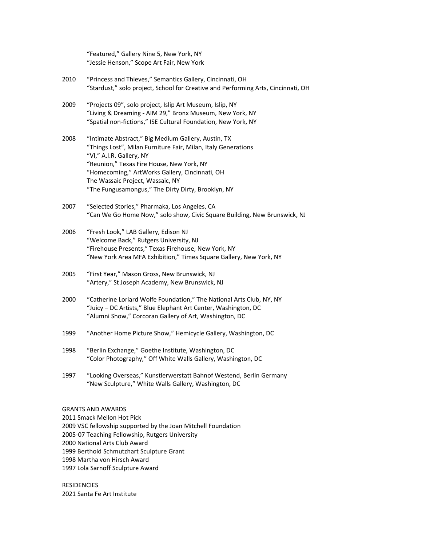"Featured," Gallery Nine 5, New York, NY "Jessie Henson," Scope Art Fair, New York

- 2010 "Princess and Thieves," Semantics Gallery, Cincinnati, OH "Stardust," solo project, School for Creative and Performing Arts, Cincinnati, OH
- 2009 "Projects 09", solo project, Islip Art Museum, Islip, NY "Living & Dreaming - AIM 29," Bronx Museum, New York, NY "Spatial non-fictions," ISE Cultural Foundation, New York, NY
- 2008 "Intimate Abstract," Big Medium Gallery, Austin, TX "Things Lost", Milan Furniture Fair, Milan, Italy Generations "VI," A.I.R. Gallery, NY "Reunion," Texas Fire House, New York, NY "Homecoming," ArtWorks Gallery, Cincinnati, OH The Wassaic Project, Wassaic, NY "The Fungusamongus," The Dirty Dirty, Brooklyn, NY
- 2007 "Selected Stories," Pharmaka, Los Angeles, CA "Can We Go Home Now," solo show, Civic Square Building, New Brunswick, NJ
- 2006 "Fresh Look," LAB Gallery, Edison NJ "Welcome Back," Rutgers University, NJ "Firehouse Presents," Texas Firehouse, New York, NY "New York Area MFA Exhibition," Times Square Gallery, New York, NY
- 2005 "First Year," Mason Gross, New Brunswick, NJ "Artery," St Joseph Academy, New Brunswick, NJ
- 2000 "Catherine Loriard Wolfe Foundation," The National Arts Club, NY, NY "Juicy – DC Artists," Blue Elephant Art Center, Washington, DC "Alumni Show," Corcoran Gallery of Art, Washington, DC
- 1999 "Another Home Picture Show," Hemicycle Gallery, Washington, DC
- 1998 "Berlin Exchange," Goethe Institute, Washington, DC "Color Photography," Off White Walls Gallery, Washington, DC
- 1997 "Looking Overseas," Kunstlerwerstatt Bahnof Westend, Berlin Germany "New Sculpture," White Walls Gallery, Washington, DC

GRANTS AND AWARDS

2011 Smack Mellon Hot Pick

2009 VSC fellowship supported by the Joan Mitchell Foundation

2005-07 Teaching Fellowship, Rutgers University

2000 National Arts Club Award

1999 Berthold Schmutzhart Sculpture Grant

1998 Martha von Hirsch Award

1997 Lola Sarnoff Sculpture Award

**RESIDENCIES** 2021 Santa Fe Art Institute